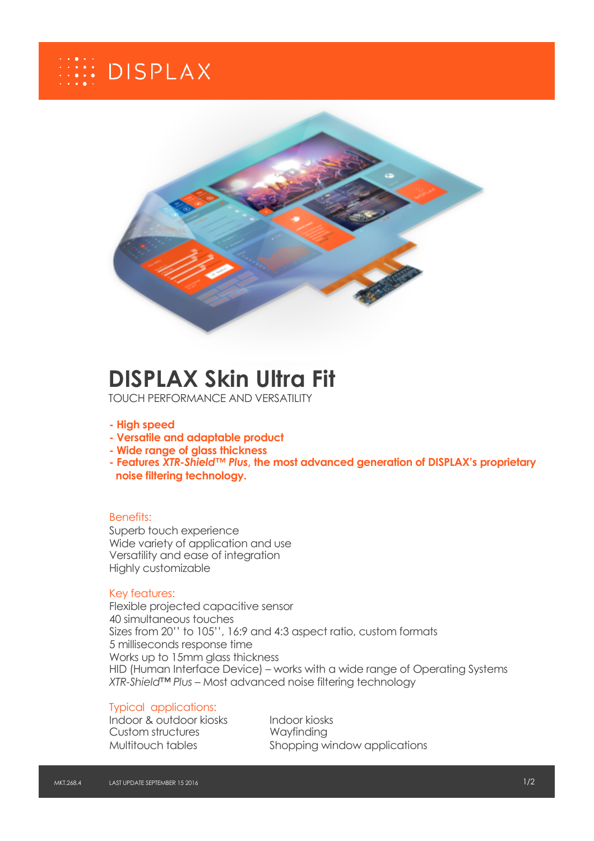# **EEE** DISPLAX



# **DISPLAX Skin Ultra Fit**

TOUCH PERFORMANCE AND VERSATILITY

#### **- High speed**

- **- Versatile and adaptable product**
- **- Wide range of glass thickness**
- **- Features** *XTR-Shield™ Plus***, the most advanced generation of DISPLAX's proprietary noise filtering technology.**

#### Benefits:

Superb touch experience Wide variety of application and use Versatility and ease of integration Highly customizable

#### Key features:

Flexible projected capacitive sensor 40 simultaneous touches Sizes from 20'' to 105'', 16:9 and 4:3 aspect ratio, custom formats 5 milliseconds response time Works up to 15mm glass thickness HID (Human Interface Device) – works with a wide range of Operating Systems *XTR-Shield™ Plus* – Most advanced noise filtering technology

### Typical applications:

Indoor & outdoor kiosks Indoor kiosks Custom structures Wayfinding

Multitouch tables Shopping window applications